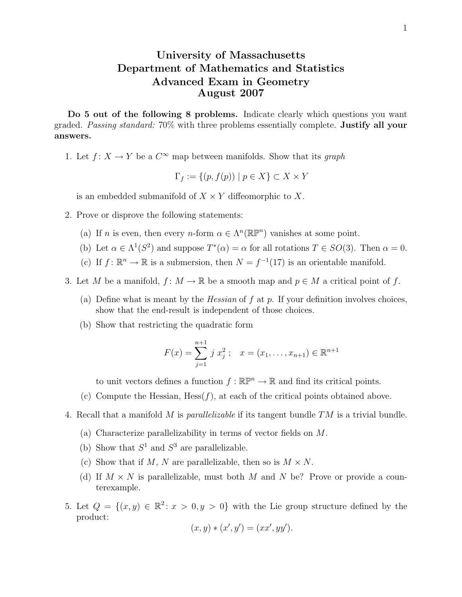## University of Massachusetts Department of Mathematics and Statistics Advanced Exam in Geometry August 2007

Do 5 out of the following 8 problems. Indicate clearly which questions you want graded. Passing standard: 70% with three problems essentially complete. Justify all your answers.

1. Let  $f: X \to Y$  be a  $C^{\infty}$  map between manifolds. Show that its graph

$$
\Gamma_f := \{(p, f(p)) \mid p \in X\} \subset X \times Y
$$

is an embedded submanifold of  $X \times Y$  diffeomorphic to X.

- 2. Prove or disprove the following statements:
	- (a) If *n* is even, then every *n*-form  $\alpha \in \Lambda^n(\mathbb{R}\mathbb{P}^n)$  vanishes at some point.
	- (b) Let  $\alpha \in \Lambda^1(S^2)$  and suppose  $T^*(\alpha) = \alpha$  for all rotations  $T \in SO(3)$ . Then  $\alpha = 0$ .
	- (c) If  $f: \mathbb{R}^n \to \mathbb{R}$  is a submersion, then  $N = f^{-1}(17)$  is an orientable manifold.
- 3. Let M be a manifold,  $f: M \to \mathbb{R}$  be a smooth map and  $p \in M$  a critical point of f.
	- (a) Define what is meant by the *Hessian* of f at p. If your definition involves choices, show that the end-result is independent of those choices.
	- (b) Show that restricting the quadratic form

$$
F(x) = \sum_{j=1}^{n+1} j x_j^2 ; \quad x = (x_1, \dots, x_{n+1}) \in \mathbb{R}^{n+1}
$$

to unit vectors defines a function  $f : \mathbb{R}\mathbb{P}^n \to \mathbb{R}$  and find its critical points.

- (c) Compute the Hessian,  $Hess(f)$ , at each of the critical points obtained above.
- 4. Recall that a manifold M is *parallelizable* if its tangent bundle  $TM$  is a trivial bundle.
	- (a) Characterize parallelizability in terms of vector fields on M.
	- (b) Show that  $S^1$  and  $S^3$  are parallelizable.
	- (c) Show that if M, N are parallelizable, then so is  $M \times N$ .
	- (d) If  $M \times N$  is parallelizable, must both M and N be? Prove or provide a counterexample.
- 5. Let  $Q = \{(x, y) \in \mathbb{R}^2 \colon x > 0, y > 0\}$  with the Lie group structure defined by the product:

$$
(x, y) * (x', y') = (xx', yy').
$$